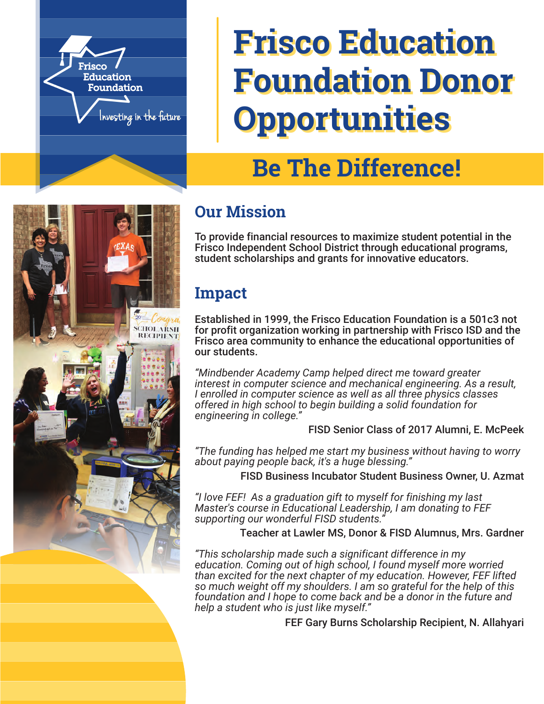

# **Frisco Education Frisco Education Foundation Donor Foundation Donor Opportunities Opportunities**

# **Be The Difference!**

# **SCHOLARSH RECIPIENT**

## **Our Mission**

To provide financial resources to maximize student potential in the Frisco Independent School District through educational programs, student scholarships and grants for innovative educators.

## **Impact**

Established in 1999, the Frisco Education Foundation is a 501c3 not for profit organization working in partnership with Frisco ISD and the Frisco area community to enhance the educational opportunities of our students.

*"Mindbender Academy Camp helped direct me toward greater interest in computer science and mechanical engineering. As a result, I enrolled in computer science as well as all three physics classes offered in high school to begin building a solid foundation for engineering in college."*

#### FISD Senior Class of 2017 Alumni, E. McPeek

*"The funding has helped me start my business without having to worry about paying people back, it's a huge blessing."*

FISD Business Incubator Student Business Owner, U. Azmat

*"I love FEF! As a graduation gift to myself for finishing my last Master's course in Educational Leadership, I am donating to FEF supporting our wonderful FISD students."*

Teacher at Lawler MS, Donor & FISD Alumnus, Mrs. Gardner

*"This scholarship made such a significant difference in my education. Coming out of high school, I found myself more worried than excited for the next chapter of my education. However, FEF lifted so much weight off my shoulders. I am so grateful for the help of this foundation and I hope to come back and be a donor in the future and help a student who is just like myself."*

FEF Gary Burns Scholarship Recipient, N. Allahyari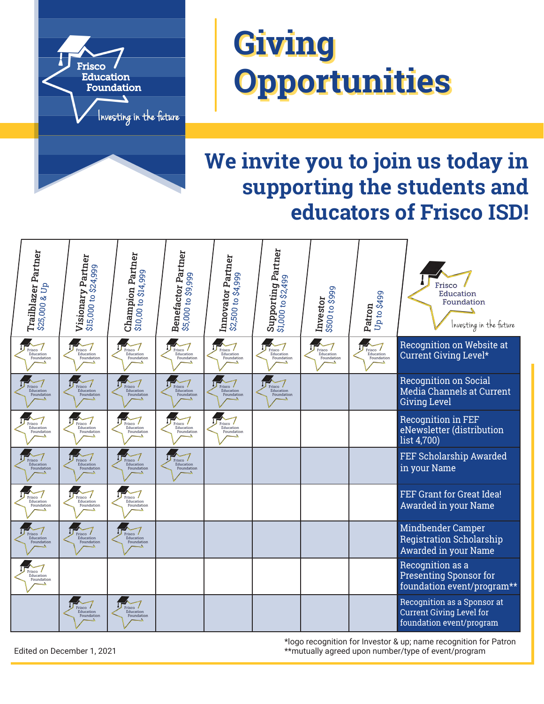

# **Giving Giving Opportunities Opportunities**

# **We invite you to join us today in supporting the students and educators of Frisco ISD!**



\*logo recognition for Investor & up; name recognition for Patron Edited on December 1, 2021 \*\*mutually agreed upon number/type of event/program